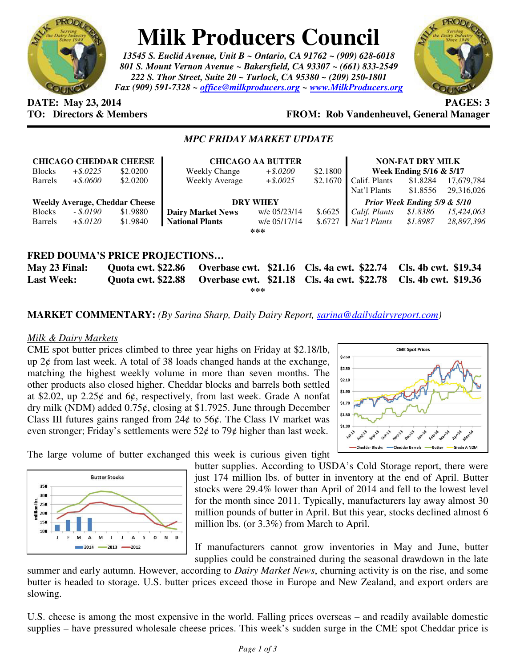

# **Milk Producers Council**

*13545 S. Euclid Avenue, Unit B ~ Ontario, CA 91762 ~ (909) 628-6018 801 S. Mount Vernon Avenue ~ Bakersfield, CA 93307 ~ (661) 833-2549 222 S. Thor Street, Suite 20 ~ Turlock, CA 95380 ~ (209) 250-1801 Fax (909) 591-7328 ~ office@milkproducers.org ~ www.MilkProducers.org*



# **DATE:** May 23, 2014 **PAGES:** 3

## **TO: Directors & Members FROM: Rob Vandenheuvel, General Manager**

### *MPC FRIDAY MARKET UPDATE*

|                                                  |             | <b>CHICAGO CHEDDAR CHEESE</b> | <b>CHICAGO AA BUTTER</b> |              |          | <b>NON-FAT DRY MILK</b>      |          |            |
|--------------------------------------------------|-------------|-------------------------------|--------------------------|--------------|----------|------------------------------|----------|------------|
| <b>Blocks</b>                                    | $+$ \$.0225 | \$2,0200                      | <b>Weekly Change</b>     | $+.8.0200$   | \$2.1800 | Week Ending 5/16 & 5/17      |          |            |
| <b>Barrels</b>                                   | $+$ \$.0600 | \$2,0200                      | Weekly Average           | $+$ \$.0025  | \$2.1670 | Calif. Plants                | \$1.8284 | 17,679,784 |
|                                                  |             |                               |                          |              |          | Nat'l Plants                 | \$1.8556 | 29,316,026 |
| <b>Weekly Average, Cheddar Cheese</b>            |             |                               | <b>DRY WHEY</b>          |              |          | Prior Week Ending 5/9 & 5/10 |          |            |
| <b>Blocks</b>                                    | - \$.0190   | \$1.9880                      | <b>Dairy Market News</b> | w/e 05/23/14 | \$.6625  | Calif. Plants                | \$1.8386 | 15,424,063 |
| <b>Barrels</b>                                   | $+$ \$.0120 | \$1.9840                      | <b>National Plants</b>   | w/e 05/17/14 | \$.6727  | Nat'l Plants                 | \$1.8987 | 28.897.396 |
| ***                                              |             |                               |                          |              |          |                              |          |            |
|                                                  |             |                               |                          |              |          |                              |          |            |
| <b>FRED DOUMA'S PRICE PROJECTIONS</b>            |             |                               |                          |              |          |                              |          |            |
| $\overline{\phantom{a}}$<br>$\sim$ $\sim$ $\sim$ |             |                               |                          |              |          |                              |          |            |

**May 23 Final: Quota cwt. \$22.86 Overbase cwt. \$21.16 Cls. 4a cwt. \$22.74 Cls. 4b cwt. \$19.34 Last Week: Quota cwt. \$22.88 Overbase cwt. \$21.18 Cls. 4a cwt. \$22.78 Cls. 4b cwt. \$19.36 \*\*\*** 

**MARKET COMMENTARY:** *(By Sarina Sharp, Daily Dairy Report, sarina@dailydairyreport.com)* 

#### *Milk & Dairy Markets*

CME spot butter prices climbed to three year highs on Friday at \$2.18/lb, up  $2¢$  from last week. A total of 38 loads changed hands at the exchange, matching the highest weekly volume in more than seven months. The other products also closed higher. Cheddar blocks and barrels both settled at \$2.02, up  $2.25¢$  and 6¢, respectively, from last week. Grade A nonfat dry milk (NDM) added  $0.75¢$ , closing at \$1.7925. June through December Class III futures gains ranged from  $24¢$  to  $56¢$ . The Class IV market was even stronger; Friday's settlements were  $52¢$  to  $79¢$  higher than last week.



The large volume of butter exchanged this week is curious given tight



butter supplies. According to USDA's Cold Storage report, there were just 174 million lbs. of butter in inventory at the end of April. Butter stocks were 29.4% lower than April of 2014 and fell to the lowest level for the month since 2011. Typically, manufacturers lay away almost 30 million pounds of butter in April. But this year, stocks declined almost 6 million lbs. (or 3.3%) from March to April.

If manufacturers cannot grow inventories in May and June, butter supplies could be constrained during the seasonal drawdown in the late

summer and early autumn. However, according to *Dairy Market News*, churning activity is on the rise, and some butter is headed to storage. U.S. butter prices exceed those in Europe and New Zealand, and export orders are slowing.

U.S. cheese is among the most expensive in the world. Falling prices overseas – and readily available domestic supplies – have pressured wholesale cheese prices. This week's sudden surge in the CME spot Cheddar price is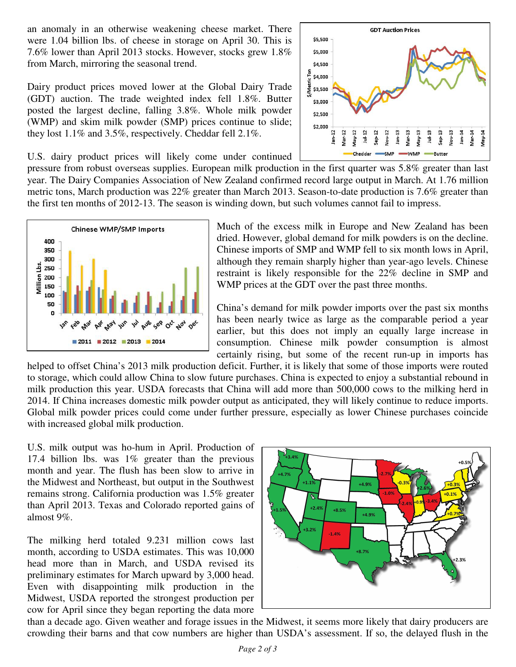an anomaly in an otherwise weakening cheese market. There were 1.04 billion lbs. of cheese in storage on April 30. This is 7.6% lower than April 2013 stocks. However, stocks grew 1.8% from March, mirroring the seasonal trend.

Dairy product prices moved lower at the Global Dairy Trade (GDT) auction. The trade weighted index fell 1.8%. Butter posted the largest decline, falling 3.8%. Whole milk powder (WMP) and skim milk powder (SMP) prices continue to slide; they lost 1.1% and 3.5%, respectively. Cheddar fell 2.1%.

U.S. dairy product prices will likely come under continued

pressure from robust overseas supplies. European milk production in the first quarter was 5.8% greater than last year. The Dairy Companies Association of New Zealand confirmed record large output in March. At 1.76 million metric tons, March production was 22% greater than March 2013. Season-to-date production is 7.6% greater than the first ten months of 2012-13. The season is winding down, but such volumes cannot fail to impress.





Much of the excess milk in Europe and New Zealand has been dried. However, global demand for milk powders is on the decline. Chinese imports of SMP and WMP fell to six month lows in April, although they remain sharply higher than year-ago levels. Chinese restraint is likely responsible for the 22% decline in SMP and WMP prices at the GDT over the past three months.

China's demand for milk powder imports over the past six months has been nearly twice as large as the comparable period a year earlier, but this does not imply an equally large increase in consumption. Chinese milk powder consumption is almost certainly rising, but some of the recent run-up in imports has

helped to offset China's 2013 milk production deficit. Further, it is likely that some of those imports were routed to storage, which could allow China to slow future purchases. China is expected to enjoy a substantial rebound in milk production this year. USDA forecasts that China will add more than 500,000 cows to the milking herd in 2014. If China increases domestic milk powder output as anticipated, they will likely continue to reduce imports. Global milk powder prices could come under further pressure, especially as lower Chinese purchases coincide with increased global milk production.

U.S. milk output was ho-hum in April. Production of 17.4 billion lbs. was 1% greater than the previous month and year. The flush has been slow to arrive in the Midwest and Northeast, but output in the Southwest remains strong. California production was 1.5% greater than April 2013. Texas and Colorado reported gains of almost 9%.

The milking herd totaled 9.231 million cows last month, according to USDA estimates. This was 10,000 head more than in March, and USDA revised its preliminary estimates for March upward by 3,000 head. Even with disappointing milk production in the Midwest, USDA reported the strongest production per cow for April since they began reporting the data more



than a decade ago. Given weather and forage issues in the Midwest, it seems more likely that dairy producers are crowding their barns and that cow numbers are higher than USDA's assessment. If so, the delayed flush in the